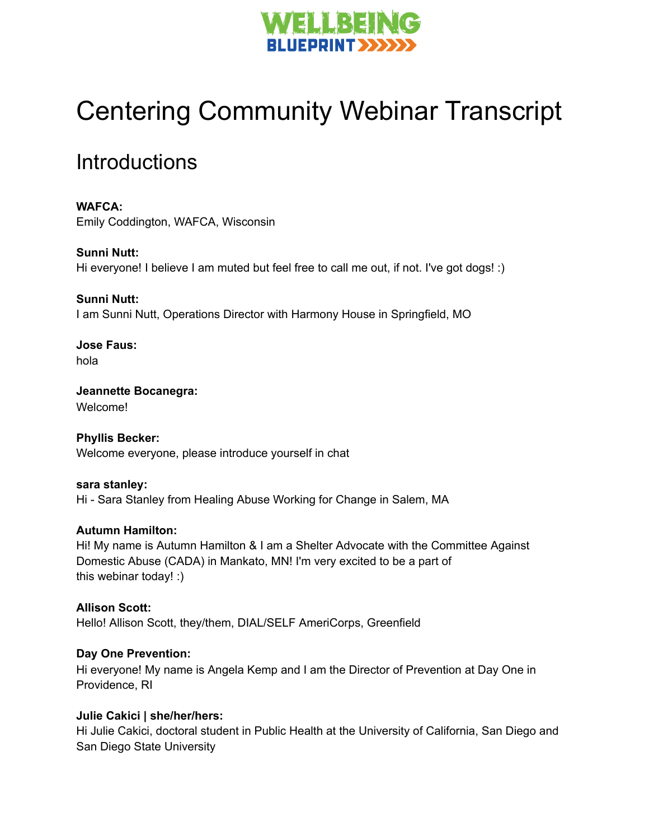

# Centering Community Webinar Transcript

## **Introductions**

**WAFCA:** Emily Coddington, WAFCA, Wisconsin

**Sunni Nutt:** Hi everyone! I believe I am muted but feel free to call me out, if not. I've got dogs! :)

**Sunni Nutt:** I am Sunni Nutt, Operations Director with Harmony House in Springfield, MO

**Jose Faus:** hola

**Jeannette Bocanegra:** Welcome!

**Phyllis Becker:** Welcome everyone, please introduce yourself in chat

**sara stanley:** Hi - Sara Stanley from Healing Abuse Working for Change in Salem, MA

#### **Autumn Hamilton:**

Hi! My name is Autumn Hamilton & I am a Shelter Advocate with the Committee Against Domestic Abuse (CADA) in Mankato, MN! I'm very excited to be a part of this webinar today! :)

**Allison Scott:** Hello! Allison Scott, they/them, DIAL/SELF AmeriCorps, Greenfield

#### **Day One Prevention:**

Hi everyone! My name is Angela Kemp and I am the Director of Prevention at Day One in Providence, RI

#### **Julie Cakici | she/her/hers:**

Hi Julie Cakici, doctoral student in Public Health at the University of California, San Diego and San Diego State University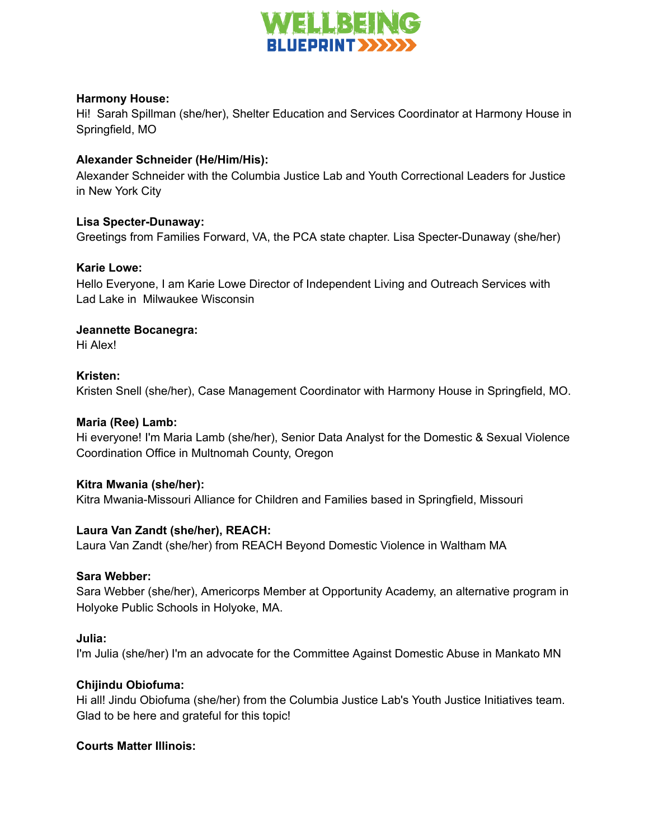

#### **Harmony House:**

Hi! Sarah Spillman (she/her), Shelter Education and Services Coordinator at Harmony House in Springfield, MO

#### **Alexander Schneider (He/Him/His):**

Alexander Schneider with the Columbia Justice Lab and Youth Correctional Leaders for Justice in New York City

#### **Lisa Specter-Dunaway:**

Greetings from Families Forward, VA, the PCA state chapter. Lisa Specter-Dunaway (she/her)

#### **Karie Lowe:**

Hello Everyone, I am Karie Lowe Director of Independent Living and Outreach Services with Lad Lake in Milwaukee Wisconsin

#### **Jeannette Bocanegra:**

Hi Alex!

#### **Kristen:**

Kristen Snell (she/her), Case Management Coordinator with Harmony House in Springfield, MO.

#### **Maria (Ree) Lamb:**

Hi everyone! I'm Maria Lamb (she/her), Senior Data Analyst for the Domestic & Sexual Violence Coordination Office in Multnomah County, Oregon

#### **Kitra Mwania (she/her):**

Kitra Mwania-Missouri Alliance for Children and Families based in Springfield, Missouri

#### **Laura Van Zandt (she/her), REACH:**

Laura Van Zandt (she/her) from REACH Beyond Domestic Violence in Waltham MA

#### **Sara Webber:**

Sara Webber (she/her), Americorps Member at Opportunity Academy, an alternative program in Holyoke Public Schools in Holyoke, MA.

#### **Julia:**

I'm Julia (she/her) I'm an advocate for the Committee Against Domestic Abuse in Mankato MN

#### **Chijindu Obiofuma:**

Hi all! Jindu Obiofuma (she/her) from the Columbia Justice Lab's Youth Justice Initiatives team. Glad to be here and grateful for this topic!

#### **Courts Matter Illinois:**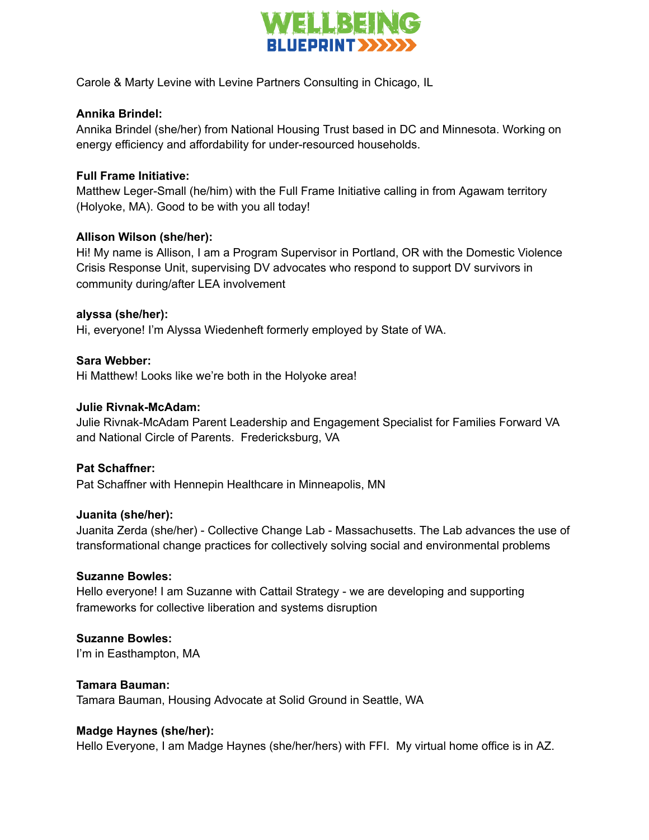

Carole & Marty Levine with Levine Partners Consulting in Chicago, IL

#### **Annika Brindel:**

Annika Brindel (she/her) from National Housing Trust based in DC and Minnesota. Working on energy efficiency and affordability for under-resourced households.

#### **Full Frame Initiative:**

Matthew Leger-Small (he/him) with the Full Frame Initiative calling in from Agawam territory (Holyoke, MA). Good to be with you all today!

#### **Allison Wilson (she/her):**

Hi! My name is Allison, I am a Program Supervisor in Portland, OR with the Domestic Violence Crisis Response Unit, supervising DV advocates who respond to support DV survivors in community during/after LEA involvement

#### **alyssa (she/her):**

Hi, everyone! I'm Alyssa Wiedenheft formerly employed by State of WA.

#### **Sara Webber:**

Hi Matthew! Looks like we're both in the Holyoke area!

#### **Julie Rivnak-McAdam:**

Julie Rivnak-McAdam Parent Leadership and Engagement Specialist for Families Forward VA and National Circle of Parents. Fredericksburg, VA

#### **Pat Schaffner:**

Pat Schaffner with Hennepin Healthcare in Minneapolis, MN

#### **Juanita (she/her):**

Juanita Zerda (she/her) - Collective Change Lab - Massachusetts. The Lab advances the use of transformational change practices for collectively solving social and environmental problems

#### **Suzanne Bowles:**

Hello everyone! I am Suzanne with Cattail Strategy - we are developing and supporting frameworks for collective liberation and systems disruption

#### **Suzanne Bowles:**

I'm in Easthampton, MA

#### **Tamara Bauman:**

Tamara Bauman, Housing Advocate at Solid Ground in Seattle, WA

#### **Madge Haynes (she/her):**

Hello Everyone, I am Madge Haynes (she/her/hers) with FFI. My virtual home office is in AZ.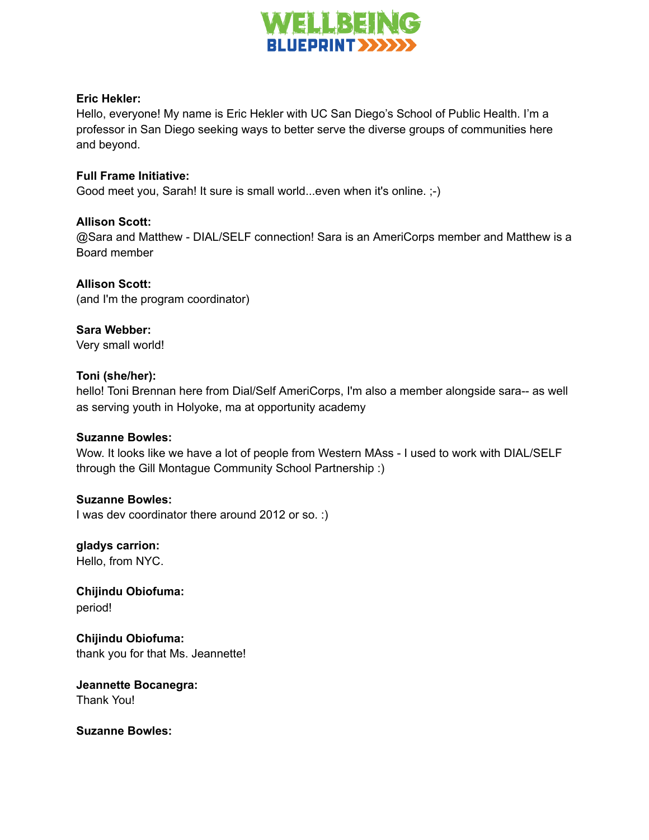

#### **Eric Hekler:**

Hello, everyone! My name is Eric Hekler with UC San Diego's School of Public Health. I'm a professor in San Diego seeking ways to better serve the diverse groups of communities here and beyond.

#### **Full Frame Initiative:**

Good meet you, Sarah! It sure is small world...even when it's online. ;-)

#### **Allison Scott:**

@Sara and Matthew - DIAL/SELF connection! Sara is an AmeriCorps member and Matthew is a Board member

**Allison Scott:** (and I'm the program coordinator)

**Sara Webber:** Very small world!

#### **Toni (she/her):**

hello! Toni Brennan here from Dial/Self AmeriCorps, I'm also a member alongside sara-- as well as serving youth in Holyoke, ma at opportunity academy

#### **Suzanne Bowles:**

Wow. It looks like we have a lot of people from Western MAss - I used to work with DIAL/SELF through the Gill Montague Community School Partnership :)

#### **Suzanne Bowles:**

I was dev coordinator there around 2012 or so. :)

**gladys carrion:** Hello, from NYC.

**Chijindu Obiofuma:** period!

**Chijindu Obiofuma:** thank you for that Ms. Jeannette!

**Jeannette Bocanegra:** Thank You!

**Suzanne Bowles:**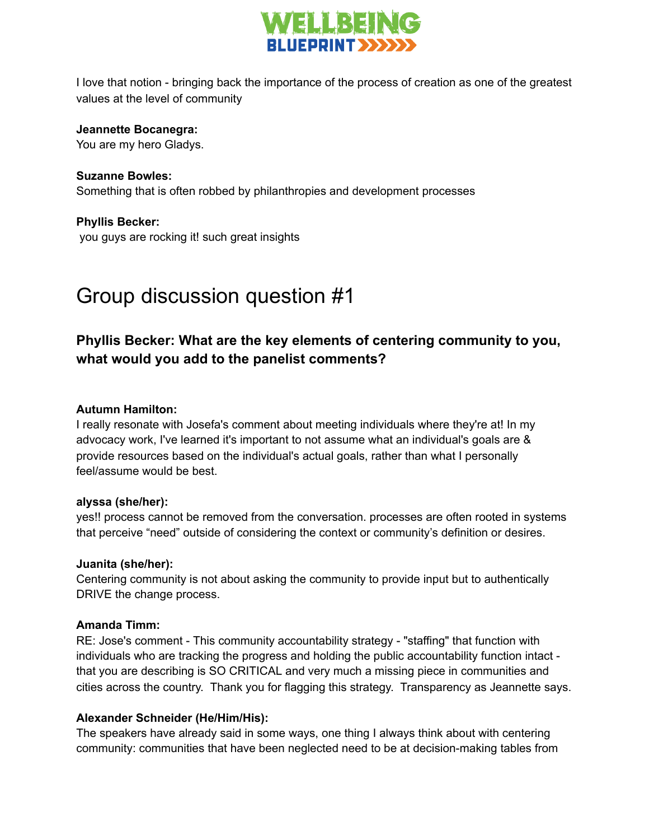

I love that notion - bringing back the importance of the process of creation as one of the greatest values at the level of community

#### **Jeannette Bocanegra:**

You are my hero Gladys.

**Suzanne Bowles:** Something that is often robbed by philanthropies and development processes

**Phyllis Becker:** you guys are rocking it! such great insights

# Group discussion question #1

### **Phyllis Becker: What are the key elements of centering community to you, what would you add to the panelist comments?**

#### **Autumn Hamilton:**

I really resonate with Josefa's comment about meeting individuals where they're at! In my advocacy work, I've learned it's important to not assume what an individual's goals are & provide resources based on the individual's actual goals, rather than what I personally feel/assume would be best.

#### **alyssa (she/her):**

yes!! process cannot be removed from the conversation. processes are often rooted in systems that perceive "need" outside of considering the context or community's definition or desires.

#### **Juanita (she/her):**

Centering community is not about asking the community to provide input but to authentically DRIVE the change process.

#### **Amanda Timm:**

RE: Jose's comment - This community accountability strategy - "staffing" that function with individuals who are tracking the progress and holding the public accountability function intact that you are describing is SO CRITICAL and very much a missing piece in communities and cities across the country. Thank you for flagging this strategy. Transparency as Jeannette says.

#### **Alexander Schneider (He/Him/His):**

The speakers have already said in some ways, one thing I always think about with centering community: communities that have been neglected need to be at decision-making tables from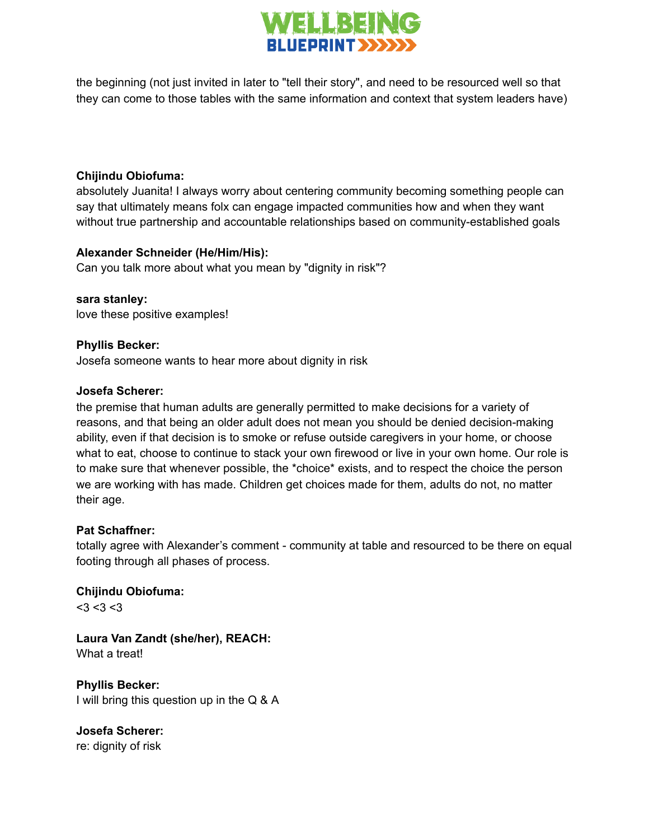

the beginning (not just invited in later to "tell their story", and need to be resourced well so that they can come to those tables with the same information and context that system leaders have)

#### **Chijindu Obiofuma:**

absolutely Juanita! I always worry about centering community becoming something people can say that ultimately means folx can engage impacted communities how and when they want without true partnership and accountable relationships based on community-established goals

#### **Alexander Schneider (He/Him/His):**

Can you talk more about what you mean by "dignity in risk"?

**sara stanley:** love these positive examples!

#### **Phyllis Becker:**

Josefa someone wants to hear more about dignity in risk

#### **Josefa Scherer:**

the premise that human adults are generally permitted to make decisions for a variety of reasons, and that being an older adult does not mean you should be denied decision-making ability, even if that decision is to smoke or refuse outside caregivers in your home, or choose what to eat, choose to continue to stack your own firewood or live in your own home. Our role is to make sure that whenever possible, the \*choice\* exists, and to respect the choice the person we are working with has made. Children get choices made for them, adults do not, no matter their age.

#### **Pat Schaffner:**

totally agree with Alexander's comment - community at table and resourced to be there on equal footing through all phases of process.

**Chijindu Obiofuma:**  $<$ 3 $<$ 3 $<$ 3

**Laura Van Zandt (she/her), REACH:** What a treat!

**Phyllis Becker:** I will bring this question up in the Q & A

**Josefa Scherer:** re: dignity of risk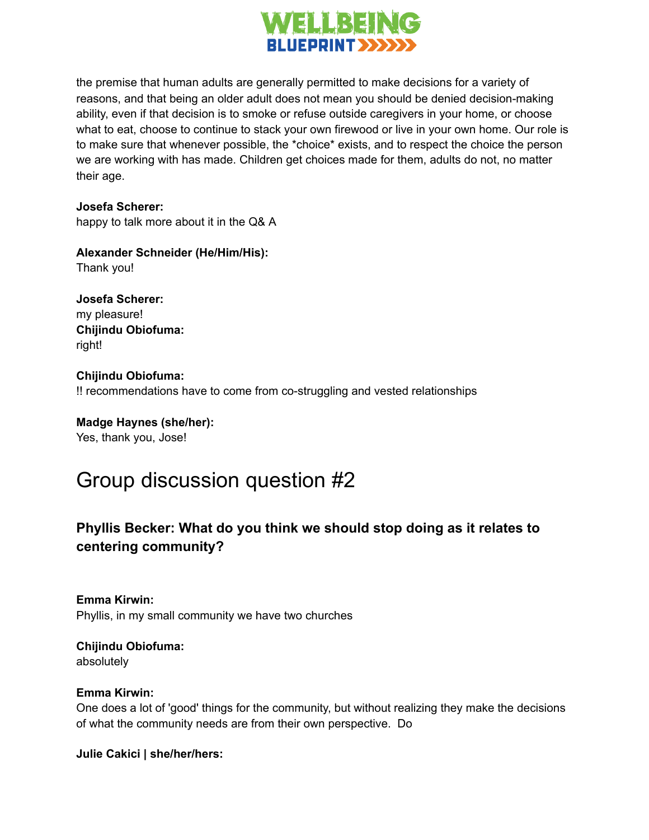

the premise that human adults are generally permitted to make decisions for a variety of reasons, and that being an older adult does not mean you should be denied decision-making ability, even if that decision is to smoke or refuse outside caregivers in your home, or choose what to eat, choose to continue to stack your own firewood or live in your own home. Our role is to make sure that whenever possible, the \*choice\* exists, and to respect the choice the person we are working with has made. Children get choices made for them, adults do not, no matter their age.

**Josefa Scherer:**

happy to talk more about it in the Q& A

**Alexander Schneider (He/Him/His):**

Thank you!

**Josefa Scherer:** my pleasure! **Chijindu Obiofuma:** right!

**Chijindu Obiofuma:** !! recommendations have to come from co-struggling and vested relationships

**Madge Haynes (she/her):** Yes, thank you, Jose!

# Group discussion question #2

### **Phyllis Becker: What do you think we should stop doing as it relates to centering community?**

**Emma Kirwin:** Phyllis, in my small community we have two churches

**Chijindu Obiofuma:** absolutely

#### **Emma Kirwin:**

One does a lot of 'good' things for the community, but without realizing they make the decisions of what the community needs are from their own perspective. Do

**Julie Cakici | she/her/hers:**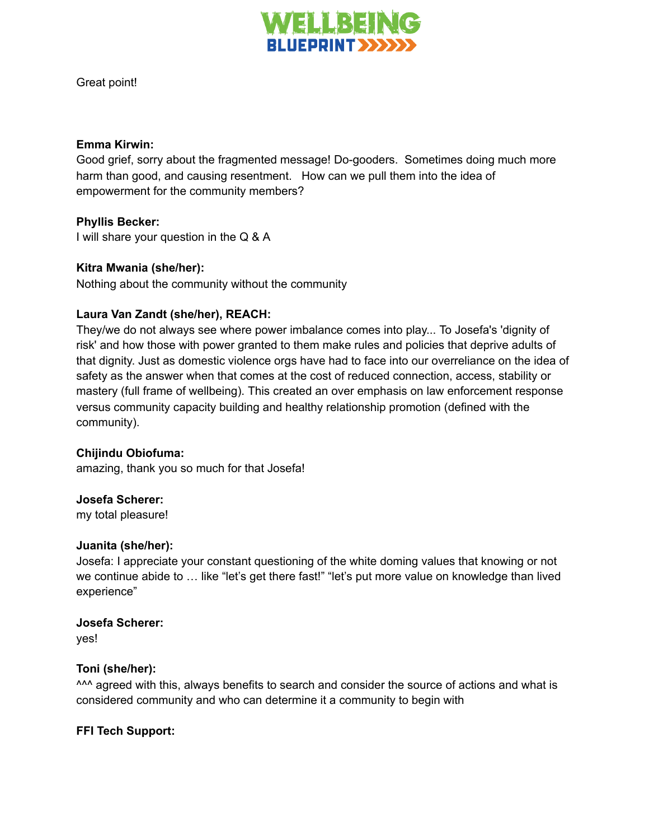

Great point!

#### **Emma Kirwin:**

Good grief, sorry about the fragmented message! Do-gooders. Sometimes doing much more harm than good, and causing resentment. How can we pull them into the idea of empowerment for the community members?

#### **Phyllis Becker:**

I will share your question in the Q & A

#### **Kitra Mwania (she/her):**

Nothing about the community without the community

#### **Laura Van Zandt (she/her), REACH:**

They/we do not always see where power imbalance comes into play... To Josefa's 'dignity of risk' and how those with power granted to them make rules and policies that deprive adults of that dignity. Just as domestic violence orgs have had to face into our overreliance on the idea of safety as the answer when that comes at the cost of reduced connection, access, stability or mastery (full frame of wellbeing). This created an over emphasis on law enforcement response versus community capacity building and healthy relationship promotion (defined with the community).

#### **Chijindu Obiofuma:**

amazing, thank you so much for that Josefa!

#### **Josefa Scherer:**

my total pleasure!

#### **Juanita (she/her):**

Josefa: I appreciate your constant questioning of the white doming values that knowing or not we continue abide to … like "let's get there fast!" "let's put more value on knowledge than lived experience"

#### **Josefa Scherer:**

yes!

#### **Toni (she/her):**

<sup>^^^</sup> agreed with this, always benefits to search and consider the source of actions and what is considered community and who can determine it a community to begin with

#### **FFI Tech Support:**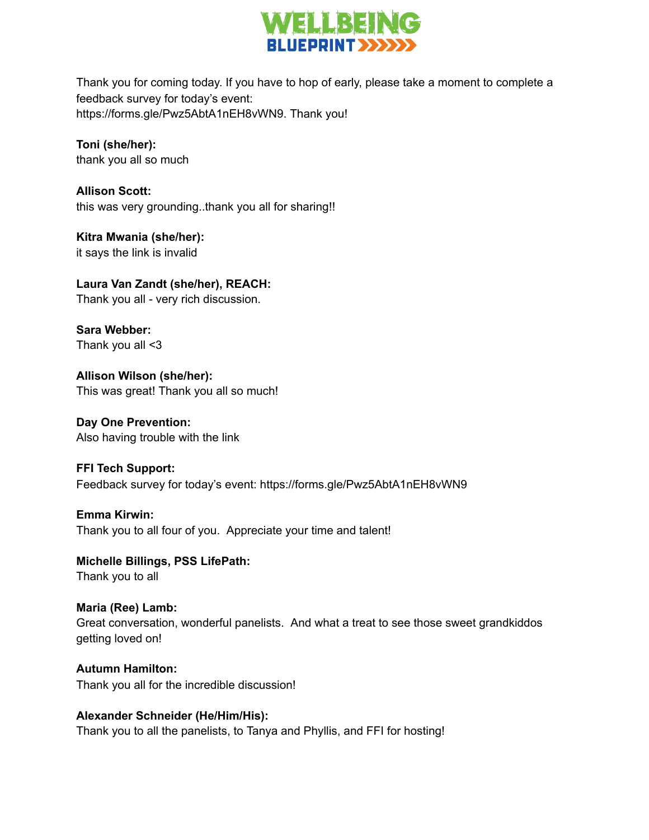

Thank you for coming today. If you have to hop of early, please take a moment to complete a feedback survey for today's event: https://forms.gle/Pwz5AbtA1nEH8vWN9. Thank you!

**Toni (she/her):** thank you all so much

**Allison Scott:** this was very grounding..thank you all for sharing!!

**Kitra Mwania (she/her):** it says the link is invalid

**Laura Van Zandt (she/her), REACH:** Thank you all - very rich discussion.

**Sara Webber:** Thank you all <3

**Allison Wilson (she/her):** This was great! Thank you all so much!

**Day One Prevention:** Also having trouble with the link

**FFI Tech Support:** Feedback survey for today's event: https://forms.gle/Pwz5AbtA1nEH8vWN9

**Emma Kirwin:** Thank you to all four of you. Appreciate your time and talent!

**Michelle Billings, PSS LifePath:** Thank you to all

**Maria (Ree) Lamb:** Great conversation, wonderful panelists. And what a treat to see those sweet grandkiddos getting loved on!

**Autumn Hamilton:** Thank you all for the incredible discussion!

**Alexander Schneider (He/Him/His):** Thank you to all the panelists, to Tanya and Phyllis, and FFI for hosting!